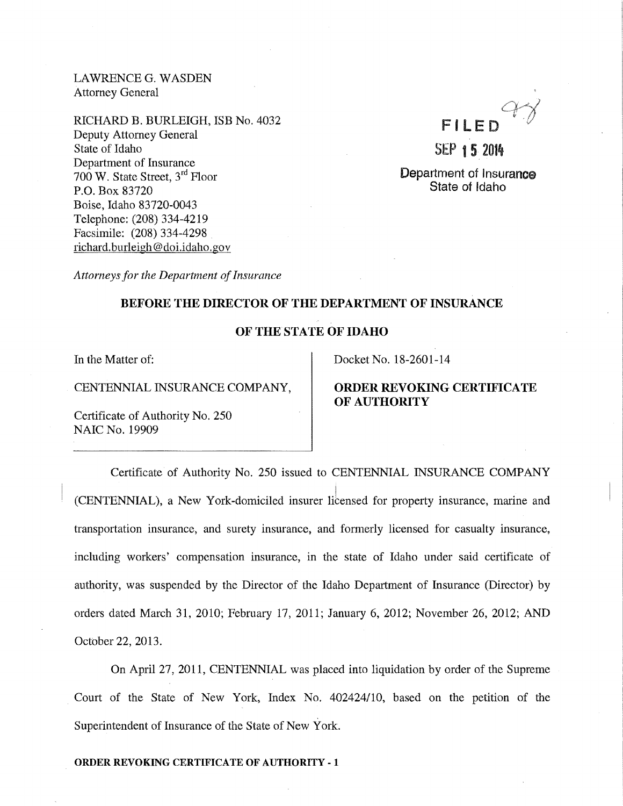LAWRENCE G. WASDEN Attorney General

RICHARD B. BURLEIGH, ISB No. 4032 Deputy Attorney General State of Idaho Department of Insurance 700 W. State Street, 3rd Floor P.O. Box 83720 Boise, Idaho 83720-0043 Telephone: (208) 334-4219 Facsimile: (208) 334-4298 richard. burleigh@ doi.idaho. gov



Department of Insurance State of Idaho

*Attorneys for the Department of Insurance* 

# **BEFORE THE DIRECTOR OF THE DEPARTMENT OF INSURANCE**

## **OF THE STATE OF IDAHO**

In the Matter of:

CENTENNIAL INSURANCE COMPANY,

Certificate of Authority No. 250 NAIC No. 19909

Docket No. 18-2601-14

# **ORDER REVOKING CERTIFICATE OF AUTHORITY**

Certificate of Authority No. 250 issued to CENTENNIAL INSURANCE COMPANY (CENTENNIAL), a New York-domiciled insurer Iibensed for property insurance, marine and transportation insurance, and surety insurance, and formerly licensed for casualty insurance, including workers' compensation insurance, in the state of Idaho under said certificate of authority, was suspended by the Director of the Idaho Department of Insurance (Director) by orders dated March 31, 2010; February 17, 2011; January 6, 2012; November 26, 2012; AND October 22, 2013.

On April27, 2011, CENTENNIAL was placed into liquidation by order of the Supreme Court of the State of New York, Index No. 402424/10, based on the petition of the Superintendent of Insurance of the State of New York.

### **ORDER REVOKING CERTIFICATE OF AUTHORITY- 1**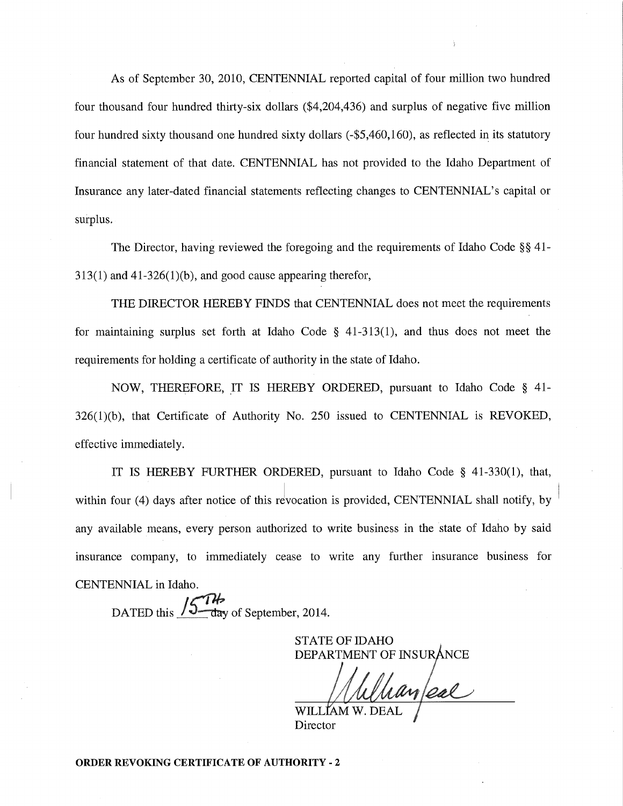As of September 30, 2010, CENTENNIAL reported capital of four million two hundred four thousand four hundred thirty-six dollars (\$4,204,436) and surplus of negative five million four hundred sixty thousand one hundred sixty dollars (-\$5,460,160), as reflected in its statutory financial statement of that date. CENTENNIAL has not provided to the Idaho Department of Insurance any later-dated financial statements reflecting changes to CENTENNIAL's capital or surplus.

The Director, having reviewed the foregoing and the requirements of Idaho Code§§ 41-  $313(1)$  and  $41-326(1)(b)$ , and good cause appearing therefor,

THE DIRECTOR HEREBY FINDS that CENTENNIAL does not meet the requirements for maintaining surplus set forth at Idaho Code § 41-313(1), and thus does not meet the requirements for holding a certificate of authority in the state of Idaho.

NOW, THEREFORE, IT IS HEREBY ORDERED, pursuant to Idaho Code  $\S$  41-326(1)(b), that Certificate of Authority No. 250 issued to CENTENNIAL is REVOKED, effective immediately.

IT IS HEREBY FURTHER ORDERED, pursuant to Idaho Code § 41-330(1), that, within four (4) days after notice of this revocation is provided, CENTENNIAL shall notify, by any available means, every person authorized to write business in the state of Idaho by said insurance company, to immediately cease to write any further insurance business for CENTENNIAL in Idaho.

DATED this  $\frac{154}{4}$  day of September, 2014.

STATE OF IDAHO DEPARTMENT OF INSUR

<u> Manfeal</u>

Director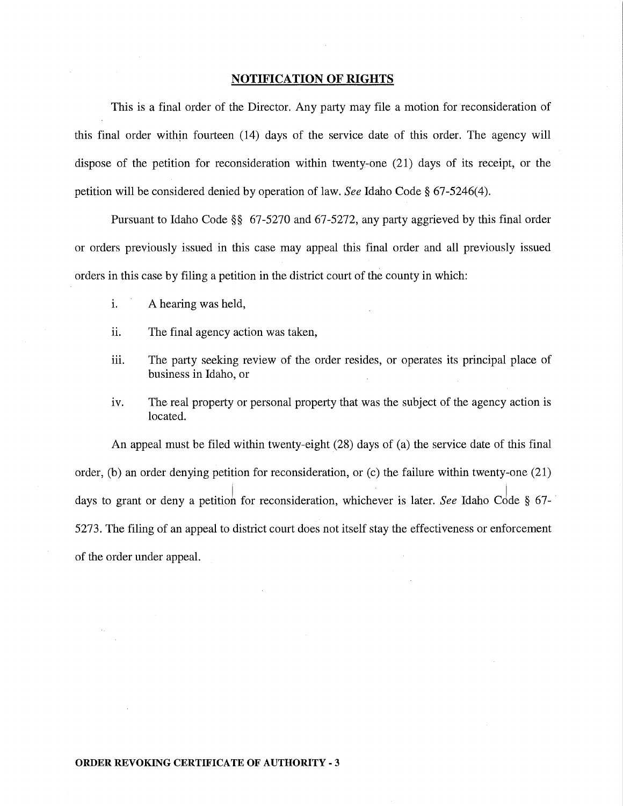### **NOTIFICATION OF RIGHTS**

This is a final order of the Director. Any party may file a motion for reconsideration of this final order within fourteen (14) days of the service date of this order. The agency will dispose of the petition for reconsideration within twenty-one (21) days of its receipt, or the petition will be considered denied by operation of law. *See* Idaho Code§ 67-5246(4).

Pursuant to Idaho Code §§ 67-5270 and 67-5272, any party aggrieved by this final order or orders previously issued in this case may appeal this final order and all previously issued orders in this case by filing a petition in the district court of the county in which:

- 1. A hearing was held,
- ii. The final agency action was taken,
- iii. The party seeking review of the order resides, or operates its principal place of business in Idaho, or
- iv. The real property or personal property that was the subject of the agency action is located.

An appeal must be filed within twenty-eight (28) days of (a) the service date of this final order, (b) an order denying petition for reconsideration, or (c) the failure within twenty-one (21) days to grant or deny a petition for reconsideration, whichever is later. *See* Idaho Code § 67-5273. The filing of an appeal to district court does not itself stay the effectiveness or enforcement of the order under appeal.

### **ORDER REVOKING CERTIFICATE OF AUTHORITY- 3**